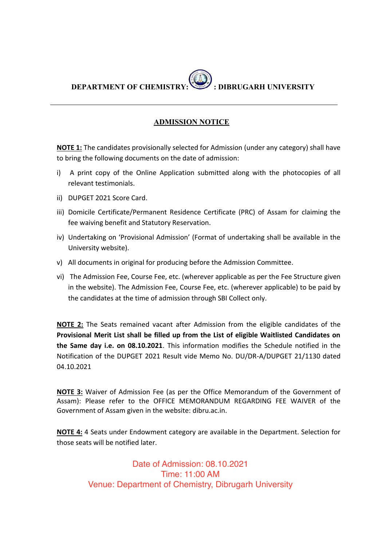# **DEPARTMENT OF CHEMISTRY: : DIBRUGARH UNIVERSITY**

#### **ADMISSION NOTICE**

**NOTE 1:** The candidates provisionally selected for Admission (under any category) shall have to bring the following documents on the date of admission:

- i) A print copy of the Online Application submitted along with the photocopies of all relevant testimonials.
- ii) DUPGET 2021 Score Card.
- iii) Domicile Certificate/Permanent Residence Certificate (PRC) of Assam for claiming the fee waiving benefit and Statutory Reservation.
- iv) Undertaking on 'Provisional Admission' (Format of undertaking shall be available in the University website).
- v) All documents in original for producing before the Admission Committee.
- vi) The Admission Fee, Course Fee, etc. (wherever applicable as per the Fee Structure given in the website). The Admission Fee, Course Fee, etc. (wherever applicable) to be paid by the candidates at the time of admission through SBI Collect only.

**NOTE 2:** The Seats remained vacant after Admission from the eligible candidates of the **Provisional Merit List shall be filled up from the List of eligible Waitlisted Candidates on the Same day i.e. on 08.10.2021**. This information modifies the Schedule notified in the Notification of the DUPGET 2021 Result vide Memo No. DU/DR-A/DUPGET 21/1130 dated 04.10.2021

**NOTE 3:** Waiver of Admission Fee (as per the Office Memorandum of the Government of Assam): Please refer to the OFFICE MEMORANDUM REGARDING FEE WAIVER of the Government of Assam given in the website: dibru.ac.in.

**NOTE 4:** 4 Seats under Endowment category are available in the Department. Selection for those seats will be notified later.

> Date of Admission: 08.10.2021 Time: 11:00 AM Venue: Department of Chemistry, Dibrugarh University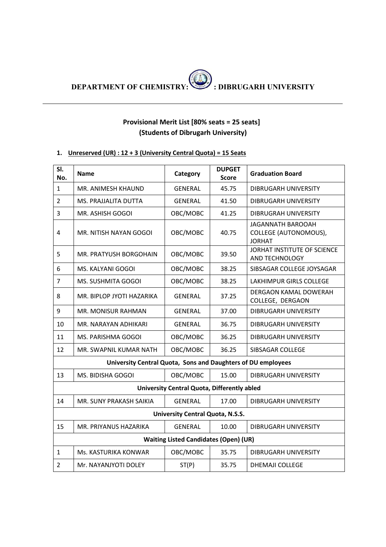## **Provisional Merit List [80% seats = 25 seats] (Students of Dibrugarh University)**

#### **1. Unreserved (UR) : 12 + 3 (University Central Quota) = 15 Seats**

| SI.<br>No.                       | <b>Name</b>                                                  | Category                                     | <b>DUPGET</b><br><b>Score</b> | <b>Graduation Board</b>                                            |  |
|----------------------------------|--------------------------------------------------------------|----------------------------------------------|-------------------------------|--------------------------------------------------------------------|--|
| 1                                | MR. ANIMESH KHAUND                                           | <b>GENERAL</b>                               | 45.75                         | DIBRUGARH UNIVERSITY                                               |  |
| $\overline{2}$                   | MS. PRAJJALITA DUTTA                                         | GENERAL                                      | 41.50                         | DIBRUGARH UNIVERSITY                                               |  |
| 3                                | MR. ASHISH GOGOI                                             | OBC/MOBC                                     | 41.25                         | <b>DIBRUGRAH UNIVERSITY</b>                                        |  |
| $\overline{4}$                   | MR. NITISH NAYAN GOGOI                                       | OBC/MOBC                                     | 40.75                         | <b>JAGANNATH BAROOAH</b><br>COLLEGE (AUTONOMOUS),<br><b>JORHAT</b> |  |
| 5                                | MR. PRATYUSH BORGOHAIN                                       | OBC/MOBC                                     | 39.50                         | JORHAT INSTITUTE OF SCIENCE<br>AND TECHNOLOGY                      |  |
| 6                                | MS. KALYANI GOGOI                                            | OBC/MOBC                                     | 38.25                         | SIBSAGAR COLLEGE JOYSAGAR                                          |  |
| $\overline{7}$                   | MS. SUSHMITA GOGOI                                           | OBC/MOBC                                     | 38.25                         | <b>LAKHIMPUR GIRLS COLLEGE</b>                                     |  |
| 8                                | MR. BIPLOP JYOTI HAZARIKA                                    | <b>GENERAL</b>                               | 37.25                         | DERGAON KAMAL DOWERAH<br>COLLEGE, DERGAON                          |  |
| 9                                | MR. MONISUR RAHMAN                                           | <b>GENERAL</b>                               | 37.00                         | <b>DIBRUGARH UNIVERSITY</b>                                        |  |
| 10                               | MR. NARAYAN ADHIKARI                                         | <b>GENERAL</b>                               | 36.75                         | <b>DIBRUGARH UNIVERSITY</b>                                        |  |
| 11                               | MS. PARISHMA GOGOI                                           | OBC/MOBC                                     | 36.25                         | <b>DIBRUGARH UNIVERSITY</b>                                        |  |
| 12                               | MR. SWAPNIL KUMAR NATH                                       | OBC/MOBC                                     | 36.25                         | SIBSAGAR COLLEGE                                                   |  |
|                                  | University Central Quota, Sons and Daughters of DU employees |                                              |                               |                                                                    |  |
| 13                               | MS. BIDISHA GOGOI                                            | OBC/MOBC                                     | 15.00                         | <b>DIBRUGARH UNIVERSITY</b>                                        |  |
|                                  |                                                              | University Central Quota, Differently abled  |                               |                                                                    |  |
| 14                               | MR. SUNY PRAKASH SAIKIA                                      | <b>GENERAL</b>                               | 17.00                         | DIBRUGARH UNIVERSITY                                               |  |
| University Central Quota, N.S.S. |                                                              |                                              |                               |                                                                    |  |
| 15                               | MR. PRIYANUS HAZARIKA                                        | <b>GENERAL</b>                               | 10.00                         | <b>DIBRUGARH UNIVERSITY</b>                                        |  |
|                                  |                                                              | <b>Waiting Listed Candidates (Open) (UR)</b> |                               |                                                                    |  |
| 1                                | Ms. KASTURIKA KONWAR                                         | OBC/MOBC                                     | 35.75                         | <b>DIBRUGARH UNIVERSITY</b>                                        |  |
| $\overline{2}$                   | Mr. NAYANJYOTI DOLEY                                         | ST(P)                                        | 35.75                         | <b>DHEMAJI COLLEGE</b>                                             |  |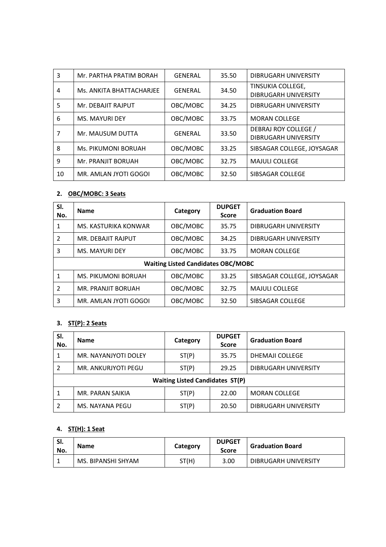| 3  | Mr. PARTHA PRATIM BORAH  | <b>GENERAL</b> | 35.50 | <b>DIBRUGARH UNIVERSITY</b>                         |
|----|--------------------------|----------------|-------|-----------------------------------------------------|
| 4  | Ms. ANKITA BHATTACHARJEE | <b>GENERAL</b> | 34.50 | TINSUKIA COLLEGE,<br><b>DIBRUGARH UNIVERSITY</b>    |
| 5  | Mr. DEBAJIT RAJPUT       | OBC/MOBC       | 34.25 | <b>DIBRUGARH UNIVERSITY</b>                         |
| 6  | <b>MS. MAYURI DEY</b>    | OBC/MOBC       | 33.75 | <b>MORAN COLLEGE</b>                                |
| 7  | Mr. MAUSUM DUTTA         | <b>GENERAL</b> | 33.50 | DEBRAJ ROY COLLEGE /<br><b>DIBRUGARH UNIVERSITY</b> |
| 8  | Ms. PIKUMONI BORUAH      | OBC/MOBC       | 33.25 | SIBSAGAR COLLEGE, JOYSAGAR                          |
| 9  | Mr. PRANJIT BORUAH       | OBC/MOBC       | 32.75 | <b>MAJULI COLLEGE</b>                               |
| 10 | MR. AMLAN JYOTI GOGOL    | OBC/MOBC       | 32.50 | SIBSAGAR COLLEGE                                    |

## **2. OBC/MOBC: 3 Seats**

| SI.<br>No.                                | <b>Name</b>                | Category | <b>DUPGET</b><br><b>Score</b> | <b>Graduation Board</b>     |  |
|-------------------------------------------|----------------------------|----------|-------------------------------|-----------------------------|--|
| 1                                         | MS. KASTURIKA KONWAR       | OBC/MOBC | 35.75                         | <b>DIBRUGARH UNIVERSITY</b> |  |
| 2                                         | MR. DEBAJIT RAJPUT         | OBC/MOBC | 34.25                         | DIBRUGARH UNIVERSITY        |  |
| 3                                         | MS. MAYURI DEY             | OBC/MOBC | 33.75                         | <b>MORAN COLLEGE</b>        |  |
| <b>Waiting Listed Candidates OBC/MOBC</b> |                            |          |                               |                             |  |
| 1                                         | <b>MS. PIKUMONI BORUAH</b> | OBC/MOBC | 33.25                         | SIBSAGAR COLLEGE, JOYSAGAR  |  |
| 2                                         | MR. PRANJIT BORUAH         | OBC/MOBC | 32.75                         | <b>MAJULI COLLEGE</b>       |  |
| 3                                         | MR. AMLAN JYOTI GOGOI      | OBC/MOBC | 32.50                         | SIBSAGAR COLLEGE            |  |

# **3. ST(P): 2 Seats**

| SI.<br>No.                             | <b>Name</b>          | Category | <b>DUPGET</b><br><b>Score</b> | <b>Graduation Board</b> |  |
|----------------------------------------|----------------------|----------|-------------------------------|-------------------------|--|
| 1                                      | MR. NAYANJYOTI DOLEY | ST(P)    | 35.75                         | DHEMAJI COLLEGE         |  |
|                                        | MR. ANKURJYOTI PEGU  | ST(P)    | 29.25                         | DIBRUGARH UNIVERSITY    |  |
| <b>Waiting Listed Candidates ST(P)</b> |                      |          |                               |                         |  |
| 1                                      | MR. PARAN SAIKIA     | ST(P)    | 22.00                         | <b>MORAN COLLEGE</b>    |  |
| 2                                      | MS. NAYANA PEGU      | ST(P)    | 20.50                         | DIBRUGARH UNIVERSITY    |  |

## **4. ST(H): 1 Seat**

| SI.<br>No. | <b>Name</b>        | Category | <b>DUPGET</b><br><b>Score</b> | <b>Graduation Board</b> |
|------------|--------------------|----------|-------------------------------|-------------------------|
|            | MS. BIPANSHI SHYAM | ST(H)    | 3.00                          | DIBRUGARH UNIVERSITY    |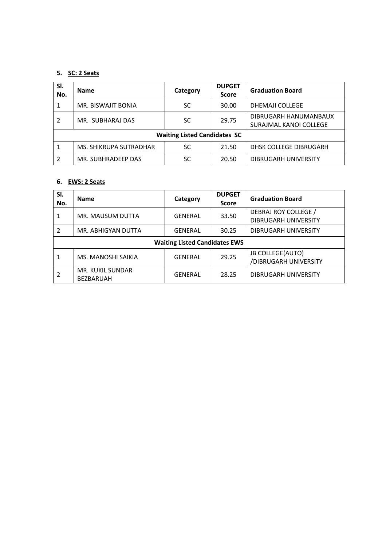#### **5. SC: 2 Seats**

| SI.<br>No.                          | <b>Name</b>            | Category  | <b>DUPGET</b><br><b>Score</b> | <b>Graduation Board</b>                         |  |
|-------------------------------------|------------------------|-----------|-------------------------------|-------------------------------------------------|--|
|                                     | MR. BISWAJIT BONIA     | <b>SC</b> | 30.00                         | DHEMAJI COLLEGE                                 |  |
| 2                                   | MR. SUBHARAJ DAS       | SC.       | 29.75                         | DIBRUGARH HANUMANBAUX<br>SURAJMAL KANOI COLLEGE |  |
| <b>Waiting Listed Candidates SC</b> |                        |           |                               |                                                 |  |
| 1                                   | MS. SHIKRUPA SUTRADHAR | SC        | 21.50                         | DHSK COLLEGE DIBRUGARH                          |  |
| 2                                   | MR. SUBHRADEEP DAS     | SC        | 20.50                         | DIBRUGARH UNIVERSITY                            |  |

#### **6. EWS: 2 Seats**

| SI.<br>No.                           | <b>Name</b>                          | Category       | <b>DUPGET</b><br><b>Score</b> | <b>Graduation Board</b>                             |  |
|--------------------------------------|--------------------------------------|----------------|-------------------------------|-----------------------------------------------------|--|
|                                      | MR. MAUSUM DUTTA                     | GENERAL        | 33.50                         | DEBRAJ ROY COLLEGE /<br><b>DIBRUGARH UNIVERSITY</b> |  |
| 2                                    | MR. ABHIGYAN DUTTA                   | GENERAL        | 30.25                         | DIBRUGARH UNIVERSITY                                |  |
| <b>Waiting Listed Candidates EWS</b> |                                      |                |                               |                                                     |  |
|                                      | MS. MANOSHI SAIKIA                   | GENERAL        | 29.25                         | <b>JB COLLEGE(AUTO)</b><br>/DIBRUGARH UNIVERSITY    |  |
|                                      | MR. KUKIL SUNDAR<br><b>BEZBARUAH</b> | <b>GENERAL</b> | 28.25                         | DIBRUGARH UNIVERSITY                                |  |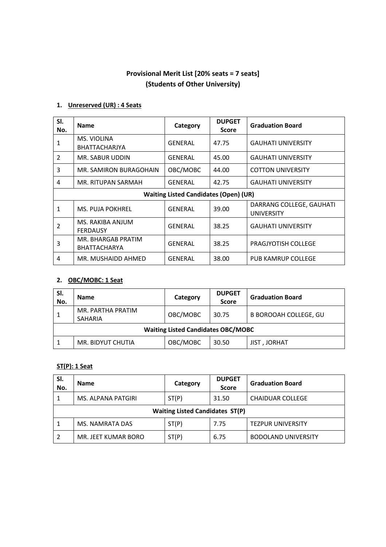## **Provisional Merit List [20% seats = 7 seats] (Students of Other University)**

#### **1. Unreserved (UR) : 4 Seats**

| SI.<br>No.     | <b>Name</b>                                  | Category       | <b>DUPGET</b><br><b>Score</b> | <b>Graduation Board</b>                       |  |  |
|----------------|----------------------------------------------|----------------|-------------------------------|-----------------------------------------------|--|--|
| 1              | MS. VIOLINA<br><b>BHATTACHARJYA</b>          | <b>GENERAL</b> | 47.75                         | <b>GAUHATI UNIVERSITY</b>                     |  |  |
| $\mathcal{P}$  | MR. SABUR UDDIN                              | GENERAL        | 45.00                         | <b>GAUHATI UNIVERSITY</b>                     |  |  |
| 3              | MR. SAMIRON BURAGOHAIN                       | OBC/MOBC       | 44.00                         | <b>COTTON UNIVERSITY</b>                      |  |  |
| 4              | MR. RITUPAN SARMAH                           | GENERAL        | 42.75                         | <b>GAUHATI UNIVERSITY</b>                     |  |  |
|                | <b>Waiting Listed Candidates (Open) (UR)</b> |                |                               |                                               |  |  |
| 1              | MS. PUJA POKHREL                             | GENERAL        | 39.00                         | DARRANG COLLEGE, GAUHATI<br><b>UNIVERSITY</b> |  |  |
| $\overline{2}$ | MS. RAKIBA ANJUM<br><b>FERDAUSY</b>          | GENERAL        | 38.25                         | <b>GAUHATI UNIVERSITY</b>                     |  |  |
| 3              | MR. BHARGAB PRATIM<br><b>BHATTACHARYA</b>    | GENERAL        | 38.25                         | PRAGJYOTISH COLLEGE                           |  |  |
| 4              | MR. MUSHAIDD AHMED                           | <b>GENERAL</b> | 38.00                         | <b>PUB KAMRUP COLLEGE</b>                     |  |  |

#### **2. OBC/MOBC: 1 Seat**

| SI.<br>No.                                | <b>Name</b>                         | Category | <b>DUPGET</b><br><b>Score</b> | <b>Graduation Board</b>      |
|-------------------------------------------|-------------------------------------|----------|-------------------------------|------------------------------|
| 1                                         | MR. PARTHA PRATIM<br><b>SAHARIA</b> | OBC/MOBC | 30.75                         | <b>B BOROOAH COLLEGE, GU</b> |
| <b>Waiting Listed Candidates OBC/MOBC</b> |                                     |          |                               |                              |
|                                           | MR. BIDYUT CHUTIA                   | OBC/MOBC | 30.50                         | <b>JIST, JORHAT</b>          |

# **ST(P): 1 Seat**

| SI.<br>No.                             | <b>Name</b>         | Category | <b>DUPGET</b><br><b>Score</b> | <b>Graduation Board</b>    |  |
|----------------------------------------|---------------------|----------|-------------------------------|----------------------------|--|
|                                        | MS. ALPANA PATGIRI  | ST(P)    | 31.50                         | <b>CHAIDUAR COLLEGE</b>    |  |
| <b>Waiting Listed Candidates ST(P)</b> |                     |          |                               |                            |  |
|                                        | MS. NAMRATA DAS     | ST(P)    | 7.75                          | <b>TEZPUR UNIVERSITY</b>   |  |
|                                        | MR. JEET KUMAR BORO | ST(P)    | 6.75                          | <b>BODOLAND UNIVERSITY</b> |  |